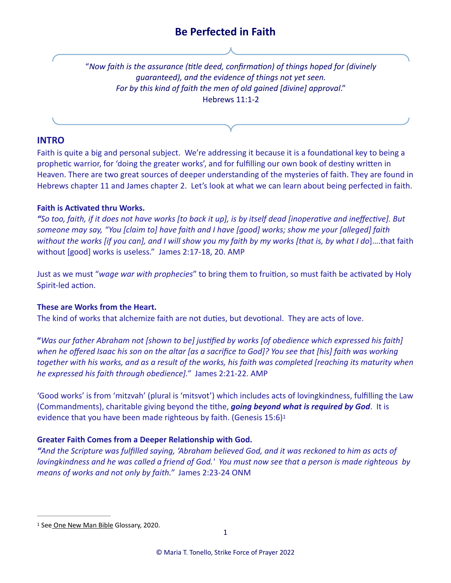"*Now faith is the assurance (title deed, confirmation) of things hoped for (divinely guaranteed), and the evidence of things not yet seen. For by this kind of faith the men of old gained [divine] approval*." Hebrews 11:1-2

# **INTRO**

Faith is quite a big and personal subject. We're addressing it because it is a foundational key to being a prophetic warrior, for 'doing the greater works', and for fulfilling our own book of destiny written in Heaven. There are two great sources of deeper understanding of the mysteries of faith. They are found in Hebrews chapter 11 and James chapter 2. Let's look at what we can learn about being perfected in faith.

## **Faith is Activated thru Works.**

*"So too, faith, if it does not have works [to back it up], is by itself dead [inoperative and ineffective]. But someone may say, "You [claim to] have faith and I have [good] works; show me your [alleged] faith without the works [if you can], and I will show you my faith by my works [that is, by what I do*]….that faith without [good] works is useless." James 2:17-18, 20. AMP

Just as we must "*wage war with prophecies*" to bring them to fruition, so must faith be activated by Holy Spirit-led action.

# **These are Works from the Heart.**

The kind of works that alchemize faith are not duties, but devotional. They are acts of love.

**"***Was our father Abraham not [shown to be] justified by works [of obedience which expressed his faith] when he offered Isaac his son on the altar [as a sacrifice to God]? You see that [his] faith was working together with his works, and as a result of the works, his faith was completed [reaching its maturity when he expressed his faith through obedience]."* James 2:21-22. AMP

'Good works' is from 'mitzvah' (plural is 'mitsvot') which includes acts of lovingkindness, fulfilling the Law (Commandments), charitable giving beyond the tithe, *going beyond what is required by God*. It is evidence that you have been made righteous by faith. (Genesis 15:6[\)1](#page-0-0)

# <span id="page-0-1"></span>**Greater Faith Comes from a Deeper Relationship with God.**

*"And the Scripture was fulfilled saying, 'Abraham believed God, and it was reckoned to him as acts of lovingkindness and he was called a friend of God.' You must now see that a person is made righteous by means of works and not only by faith."* James 2:23-24 ONM

<span id="page-0-0"></span><sup>&</sup>lt;sup>[1](#page-0-1)</sup> See One New Man Bible Glossary, 2020.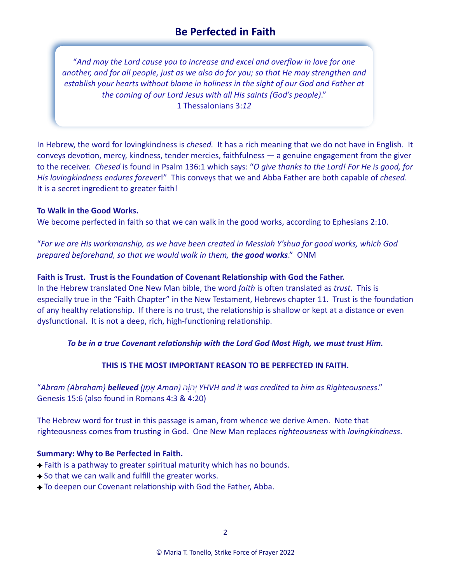"*And may the Lord cause you to increase and excel and overflow in love for one another, and for all people, just as we also do for you; so that He may strengthen and establish your hearts without blame in holiness in the sight of our God and Father at the coming of our Lord Jesus with all His saints (God's people)*." 1 Thessalonians 3:*12*

In Hebrew, the word for lovingkindness is *chesed.* It has a rich meaning that we do not have in English. It conveys devotion, mercy, kindness, tender mercies, faithfulness — a genuine engagement from the giver to the receiver. *Chesed* is found in Psalm 136:1 which says: "*O give thanks to the Lord! For He is good, for His lovingkindness endures forever*!" This conveys that we and Abba Father are both capable of *chesed*. It is a secret ingredient to greater faith!

#### **To Walk in the Good Works.**

We become perfected in faith so that we can walk in the good works, according to Ephesians 2:10.

"*For we are His workmanship, as we have been created in Messiah Y'shua for good works, which God prepared beforehand, so that we would walk in them, the good works*." ONM

#### **Faith is Trust. Trust is the Foundation of Covenant Relationship with God the Father.**

In the Hebrew translated One New Man bible, the word *faith* is often translated as *trust*. This is especially true in the "Faith Chapter" in the New Testament, Hebrews chapter 11. Trust is the foundation of any healthy relationship. If there is no trust, the relationship is shallow or kept at a distance or even dysfunctional. It is not a deep, rich, high-functioning relationship.

#### *To be in a true Covenant relationship with the Lord God Most High, we must trust Him.*

### **THIS IS THE MOST IMPORTANT REASON TO BE PERFECTED IN FAITH.**

"*Abram (Abraham) believed (ן ַמ ָא Aman) הָהוְֹי YHVH and it was credited to him as Righteousness*." Genesis 15:6 (also found in Romans 4:3 & 4:20)

The Hebrew word for trust in this passage is aman, from whence we derive Amen. Note that righteousness comes from trusting in God. One New Man replaces *righteousness* with *lovingkindness*.

#### **Summary: Why to Be Perfected in Faith.**

- Faith is a pathway to greater spiritual maturity which has no bounds.
- $\rightarrow$  So that we can walk and fulfill the greater works.
- To deepen our Covenant relationship with God the Father, Abba.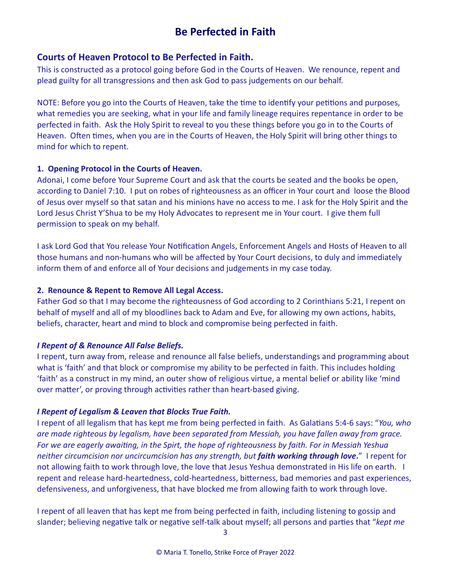# **Courts of Heaven Protocol to Be Perfected in Faith.**

This is constructed as a protocol going before God in the Courts of Heaven. We renounce, repent and plead guilty for all transgressions and then ask God to pass judgements on our behalf.

NOTE: Before you go into the Courts of Heaven, take the time to identify your petitions and purposes, what remedies you are seeking, what in your life and family lineage requires repentance in order to be perfected in faith. Ask the Holy Spirit to reveal to you these things before you go in to the Courts of Heaven. Often times, when you are in the Courts of Heaven, the Holy Spirit will bring other things to mind for which to repent.

### **1. Opening Protocol in the Courts of Heaven.**

Adonai, I come before Your Supreme Court and ask that the courts be seated and the books be open, according to Daniel 7:10. I put on robes of righteousness as an officer in Your court and loose the Blood of Jesus over myself so that satan and his minions have no access to me. I ask for the Holy Spirit and the Lord Jesus Christ Y'Shua to be my Holy Advocates to represent me in Your court. I give them full permission to speak on my behalf.

I ask Lord God that You release Your Notification Angels, Enforcement Angels and Hosts of Heaven to all those humans and non-humans who will be affected by Your Court decisions, to duly and immediately inform them of and enforce all of Your decisions and judgements in my case today.

## **2. Renounce & Repent to Remove All Legal Access.**

Father God so that I may become the righteousness of God according to 2 Corinthians 5:21, I repent on behalf of myself and all of my bloodlines back to Adam and Eve, for allowing my own actions, habits, beliefs, character, heart and mind to block and compromise being perfected in faith.

# *I Repent of & Renounce All False Beliefs.*

I repent, turn away from, release and renounce all false beliefs, understandings and programming about what is 'faith' and that block or compromise my ability to be perfected in faith. This includes holding 'faith' as a construct in my mind, an outer show of religious virtue, a mental belief or ability like 'mind over matter', or proving through activities rather than heart-based giving.

# *I Repent of Legalism & Leaven that Blocks True Faith.*

I repent of all legalism that has kept me from being perfected in faith. As Galatians 5:4-6 says: "*You, who are made righteous by legalism, have been separated from Messiah, you have fallen away from grace. For we are eagerly awaiting, in the Spirt, the hope of righteousness by faith. For in Messiah Yeshua neither circumcision nor uncircumcision has any strength, but faith working through love***.**" I repent for not allowing faith to work through love, the love that Jesus Yeshua demonstrated in His life on earth. I repent and release hard-heartedness, cold-heartedness, bitterness, bad memories and past experiences, defensiveness, and unforgiveness, that have blocked me from allowing faith to work through love.

I repent of all leaven that has kept me from being perfected in faith, including listening to gossip and slander; believing negative talk or negative self-talk about myself; all persons and parties that "*kept me*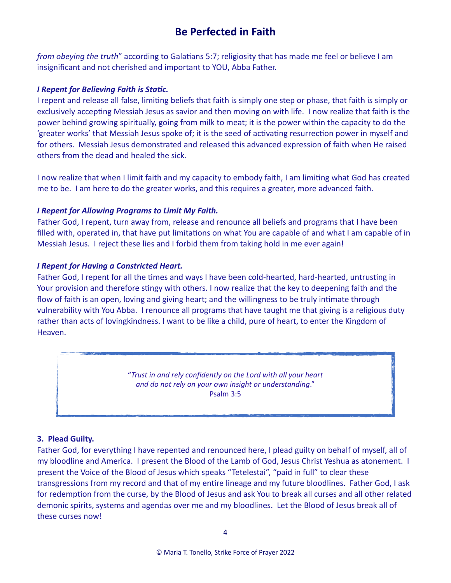*from obeying the truth*" according to Galatians 5:7; religiosity that has made me feel or believe I am insignificant and not cherished and important to YOU, Abba Father.

### *I Repent for Believing Faith is Static.*

I repent and release all false, limiting beliefs that faith is simply one step or phase, that faith is simply or exclusively accepting Messiah Jesus as savior and then moving on with life. I now realize that faith is the power behind growing spiritually, going from milk to meat; it is the power within the capacity to do the 'greater works' that Messiah Jesus spoke of; it is the seed of activating resurrection power in myself and for others. Messiah Jesus demonstrated and released this advanced expression of faith when He raised others from the dead and healed the sick.

I now realize that when I limit faith and my capacity to embody faith, I am limiting what God has created me to be. I am here to do the greater works, and this requires a greater, more advanced faith.

## *I Repent for Allowing Programs to Limit My Faith.*

Father God, I repent, turn away from, release and renounce all beliefs and programs that I have been filled with, operated in, that have put limitations on what You are capable of and what I am capable of in Messiah Jesus. I reject these lies and I forbid them from taking hold in me ever again!

## *I Repent for Having a Constricted Heart.*

Father God, I repent for all the times and ways I have been cold-hearted, hard-hearted, untrusting in Your provision and therefore stingy with others. I now realize that the key to deepening faith and the flow of faith is an open, loving and giving heart; and the willingness to be truly intimate through vulnerability with You Abba. I renounce all programs that have taught me that giving is a religious duty rather than acts of lovingkindness. I want to be like a child, pure of heart, to enter the Kingdom of Heaven.

> "*Trust in and rely confidently on the Lord with all your heart and do not rely on your own insight or understanding*." Psalm 3:5

### **3. Plead Guilty.**

Father God, for everything I have repented and renounced here, I plead guilty on behalf of myself, all of my bloodline and America. I present the Blood of the Lamb of God, Jesus Christ Yeshua as atonement. I present the Voice of the Blood of Jesus which speaks "Tetelestai", "paid in full" to clear these transgressions from my record and that of my entire lineage and my future bloodlines. Father God, I ask for redemption from the curse, by the Blood of Jesus and ask You to break all curses and all other related demonic spirits, systems and agendas over me and my bloodlines. Let the Blood of Jesus break all of these curses now!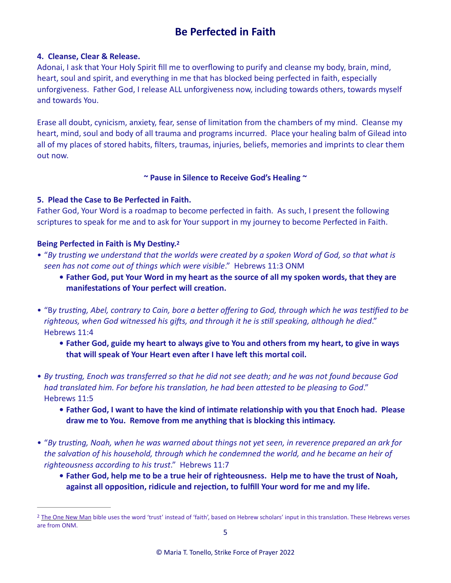### **4. Cleanse, Clear & Release.**

Adonai, I ask that Your Holy Spirit fill me to overflowing to purify and cleanse my body, brain, mind, heart, soul and spirit, and everything in me that has blocked being perfected in faith, especially unforgiveness. Father God, I release ALL unforgiveness now, including towards others, towards myself and towards You.

Erase all doubt, cynicism, anxiety, fear, sense of limitation from the chambers of my mind. Cleanse my heart, mind, soul and body of all trauma and programs incurred. Place your healing balm of Gilead into all of my places of stored habits, filters, traumas, injuries, beliefs, memories and imprints to clear them out now.

#### <span id="page-4-1"></span>**~ Pause in Silence to Receive God's Healing ~**

#### **5. Plead the Case to Be Perfected in Faith.**

Father God, Your Word is a roadmap to become perfected in faith. As such, I present the following scriptures to speak for me and to ask for Your support in my journey to become Perfected in Faith.

#### **Being Perfected in Faith is My Destiny.[2](#page-4-0)**

- "*By trusting we understand that the worlds were created by a spoken Word of God, so that what is seen has not come out of things which were visible*." Hebrews 11:3 ONM
	- **• Father God, put Your Word in my heart as the source of all my spoken words, that they are manifestations of Your perfect will creation.**
- "B*y trusting, Abel, contrary to Cain, bore a better offering to God, through which he was testified to be righteous, when God witnessed his gifts, and through it he is still speaking, although he died*." Hebrews 11:4
	- **• Father God, guide my heart to always give to You and others from my heart, to give in ways that will speak of Your Heart even after I have left this mortal coil.**
- *By trusting, Enoch was transferred so that he did not see death; and he was not found because God had translated him. For before his translation, he had been attested to be pleasing to God*." Hebrews 11:5
	- **• Father God, I want to have the kind of intimate relationship with you that Enoch had. Please draw me to You. Remove from me anything that is blocking this intimacy.**
- "*By trusting, Noah, when he was warned about things not yet seen, in reverence prepared an ark for the salvation of his household, through which he condemned the world, and he became an heir of righteousness according to his trust*." Hebrews 11:7
	- **• Father God, help me to be a true heir of righteousness. Help me to have the trust of Noah, against all opposition, ridicule and rejection, to fulfill Your word for me and my life.**

<span id="page-4-0"></span><sup>&</sup>lt;sup>[2](#page-4-1)</sup> The One New Man bible uses the word 'trust' instead of 'faith', based on Hebrew scholars' input in this translation. These Hebrews verses are from ONM.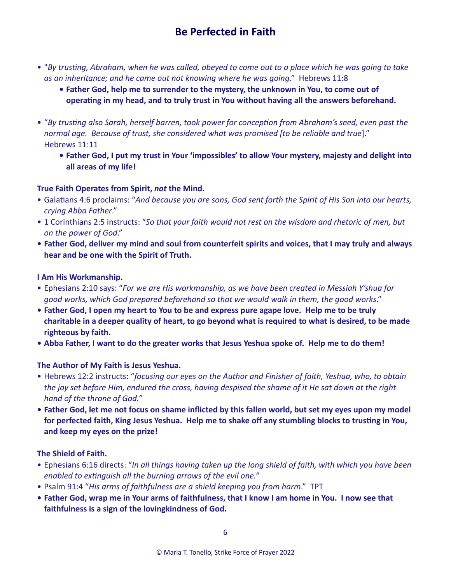- "*By trusting, Abraham, when he was called, obeyed to come out to a place which he was going to take as an inheritance; and he came out not knowing where he was going*." Hebrews 11:8
	- **• Father God, help me to surrender to the mystery, the unknown in You, to come out of operating in my head, and to truly trust in You without having all the answers beforehand.**
- "*By trusting also Sarah, herself barren, took power for conception from Abraham's seed, even past the normal age. Because of trust, she considered what was promised [to be reliable and true*]." Hebrews 11:11
	- **• Father God, I put my trust in Your 'impossibles' to allow Your mystery, majesty and delight into all areas of my life!**

# **True Faith Operates from Spirit,** *not* **the Mind.**

- Galatians 4:6 proclaims: "*And because you are sons, God sent forth the Spirit of His Son into our hearts, crying Abba Father*."
- 1 Corinthians 2:5 instructs: "*So that your faith would not rest on the wisdom and rhetoric of men, but on the power of God*."
- **• Father God, deliver my mind and soul from counterfeit spirits and voices, that I may truly and always hear and be one with the Spirit of Truth.**

## **I Am His Workmanship.**

- Ephesians 2:10 says: "*For we are His workmanship, as we have been created in Messiah Y'shua for good works, which God prepared beforehand so that we would walk in them, the good works*."
- **• Father God, I open my heart to You to be and express pure agape love. Help me to be truly charitable in a deeper quality of heart, to go beyond what is required to what is desired, to be made righteous by faith.**
- **• Abba Father, I want to do the greater works that Jesus Yeshua spoke of. Help me to do them!**

### **The Author of My Faith is Jesus Yeshua.**

- Hebrews 12:2 instructs: "*focusing our eyes on the Author and Finisher of faith, Yeshua, who, to obtain the joy set before Him, endured the cross, having despised the shame of it He sat down at the right hand of the throne of God."*
- **• Father God, let me not focus on shame inflicted by this fallen world, but set my eyes upon my model for perfected faith, King Jesus Yeshua. Help me to shake off any stumbling blocks to trusting in You, and keep my eyes on the prize!**

### **The Shield of Faith.**

- Ephesians 6:16 directs: "*In all things having taken up the long shield of faith, with which you have been enabled to extinguish all the burning arrows of the evil one.*"
- Psalm 91:4 "*His arms of faithfulness are a shield keeping you from harm*." TPT
- **• Father God, wrap me in Your arms of faithfulness, that I know I am home in You. I now see that faithfulness is a sign of the lovingkindness of God.**